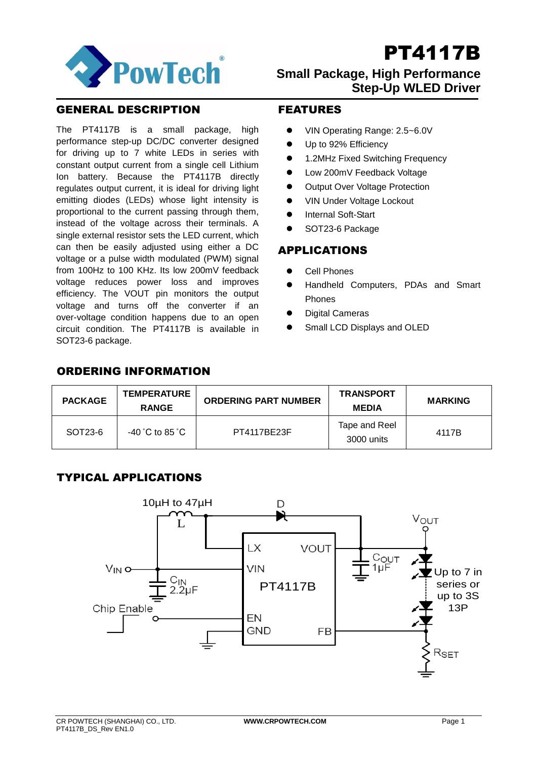

## **Small Package, High Performance Step-Up WLED Driver**

## GENERAL DESCRIPTION

The PT4117B is a small package, high performance step-up DC/DC converter designed for driving up to 7 white LEDs in series with constant output current from a single cell Lithium Ion battery. Because the PT4117B directly regulates output current, it is ideal for driving light emitting diodes (LEDs) whose light intensity is proportional to the current passing through them, instead of the voltage across their terminals. A single external resistor sets the LED current, which can then be easily adjusted using either a DC voltage or a pulse width modulated (PWM) signal from 100Hz to 100 KHz. Its low 200mV feedback voltage reduces power loss and improves efficiency. The VOUT pin monitors the output voltage and turns off the converter if an over-voltage condition happens due to an open circuit condition. The PT4117B is available in SOT23-6 package.

## FEATURES

- VIN Operating Range: 2.5~6.0V
- Up to 92% Efficiency
- 1.2MHz Fixed Switching Frequency
- Low 200mV Feedback Voltage
- Output Over Voltage Protection
- VIN Under Voltage Lockout
- Internal Soft-Start
- SOT23-6 Package

### APPLICATIONS

- Cell Phones
- Handheld Computers, PDAs and Smart Phones
- Digital Cameras
- Small LCD Displays and OLED

## ORDERING INFORMATION

| <b>PACKAGE</b> | <b>TEMPERATURE</b><br><b>RANGE</b>   | <b>ORDERING PART NUMBER</b> | <b>TRANSPORT</b><br><b>MEDIA</b> | <b>MARKING</b> |
|----------------|--------------------------------------|-----------------------------|----------------------------------|----------------|
| SOT23-6        | $-40\degree$ C to 85 $\degree$ C $-$ | PT4117BE23F                 | Tape and Reel<br>3000 units      | 4117B          |

## TYPICAL APPLICATIONS

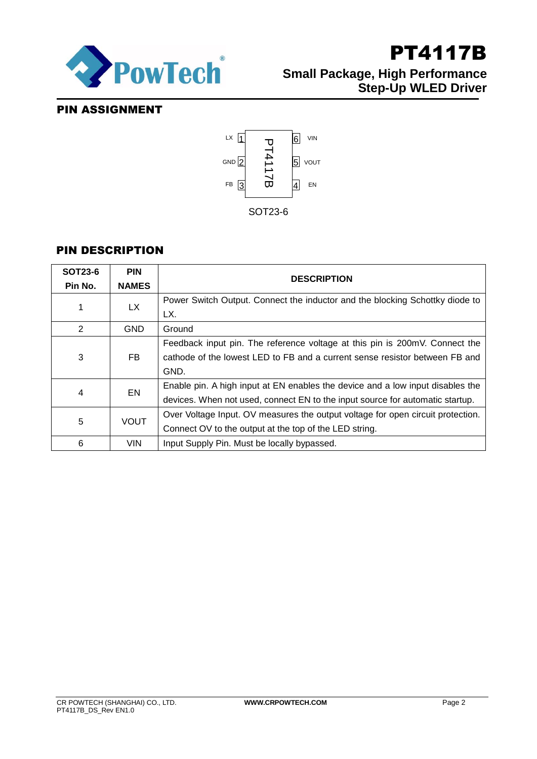

## PT4117B **Small Package, High Performance Step-Up WLED Driver**

## PIN ASSIGNMENT



## PIN DESCRIPTION

| <b>SOT23-6</b><br>Pin No. | <b>PIN</b><br><b>NAMES</b> | <b>DESCRIPTION</b>                                                                                                                                                 |
|---------------------------|----------------------------|--------------------------------------------------------------------------------------------------------------------------------------------------------------------|
|                           | LX.                        | Power Switch Output. Connect the inductor and the blocking Schottky diode to<br>LX.                                                                                |
| 2                         | <b>GND</b>                 | Ground                                                                                                                                                             |
| 3                         | FB.                        | Feedback input pin. The reference voltage at this pin is 200mV. Connect the<br>cathode of the lowest LED to FB and a current sense resistor between FB and<br>GND. |
| 4                         | EN                         | Enable pin. A high input at EN enables the device and a low input disables the<br>devices. When not used, connect EN to the input source for automatic startup.    |
| 5                         | <b>VOUT</b>                | Over Voltage Input. OV measures the output voltage for open circuit protection.<br>Connect OV to the output at the top of the LED string.                          |
| 6                         | <b>VIN</b>                 | Input Supply Pin. Must be locally bypassed.                                                                                                                        |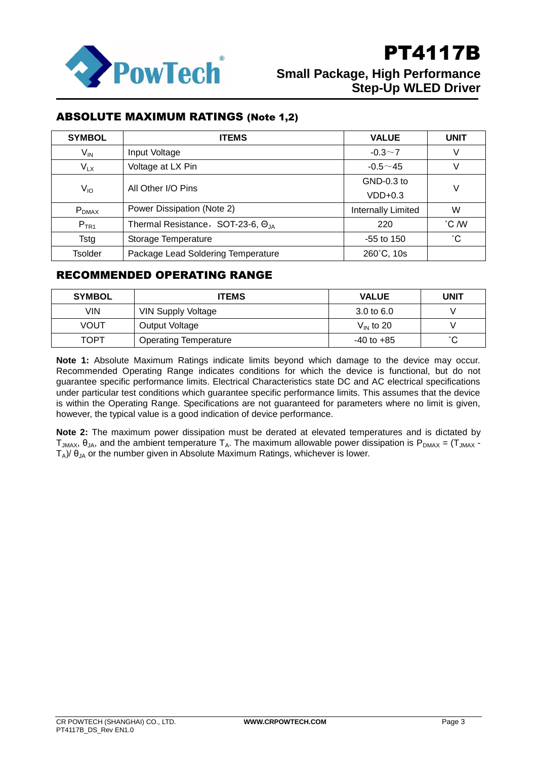

## ABSOLUTE MAXIMUM RATINGS (Note 1,2)

| <b>SYMBOL</b>   | <b>ITEMS</b>                       | <b>VALUE</b>              | <b>UNIT</b>     |  |
|-----------------|------------------------------------|---------------------------|-----------------|--|
| V <sub>IN</sub> | Input Voltage                      | $-0.3 \sim 7$             | V               |  |
| $V_{LX}$        | Voltage at LX Pin                  | $-0.5 - 45$               | V               |  |
| V <sub>IO</sub> | All Other I/O Pins                 | GND-0.3 to                | V               |  |
|                 |                                    | $VDD+0.3$                 |                 |  |
| $P_{DMAX}$      | Power Dissipation (Note 2)         | <b>Internally Limited</b> | W               |  |
| $P_{TR1}$       | Thermal Resistance, SOT-23-6, OJA  | 220                       | °C /W           |  |
| Tstg            | Storage Temperature                | $-55$ to 150              | $\rm ^{\circ}C$ |  |
| Tsolder         | Package Lead Soldering Temperature | 260°C, 10s                |                 |  |

## RECOMMENDED OPERATING RANGE

| <b>SYMBOL</b> | <b>ITEMS</b>                 | <b>VALUE</b>          | UNIT   |
|---------------|------------------------------|-----------------------|--------|
| VIN           | VIN Supply Voltage           | $3.0 \text{ to } 6.0$ |        |
| VOUT          | Output Voltage               | $V_{IN}$ to 20        |        |
| TOPT          | <b>Operating Temperature</b> | $-40$ to $+85$        | $\sim$ |

**Note 1:** Absolute Maximum Ratings indicate limits beyond which damage to the device may occur. Recommended Operating Range indicates conditions for which the device is functional, but do not guarantee specific performance limits. Electrical Characteristics state DC and AC electrical specifications under particular test conditions which guarantee specific performance limits. This assumes that the device is within the Operating Range. Specifications are not guaranteed for parameters where no limit is given, however, the typical value is a good indication of device performance.

**Note 2:** The maximum power dissipation must be derated at elevated temperatures and is dictated by T<sub>JMAX</sub>,  $θ_{JA}$ , and the ambient temperature T<sub>A</sub>. The maximum allowable power dissipation is  $P_{DMAX} = (T_{JMAX} - T_{JMAX})$  $T_A$ )/  $\theta_{JA}$  or the number given in Absolute Maximum Ratings, whichever is lower.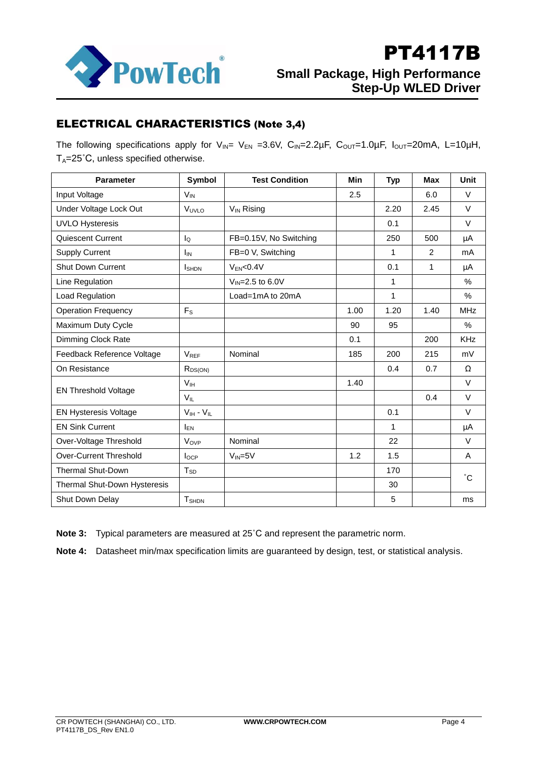

## ELECTRICAL CHARACTERISTICS (Note 3,4)

The following specifications apply for  $V_{IN} = V_{EN} = 3.6V$ ,  $C_{IN} = 2.2\mu F$ ,  $C_{OUT} = 1.0\mu F$ ,  $I_{OUT} = 20mA$ , L=10 $\mu H$ ,  $T_A = 25^\circ C$ , unless specified otherwise.

| <b>Parameter</b>             | Symbol            | <b>Test Condition</b>  | <b>Min</b> | <b>Typ</b>   | <b>Max</b> | Unit         |
|------------------------------|-------------------|------------------------|------------|--------------|------------|--------------|
| Input Voltage                | $V_{IN}$          |                        | 2.5        |              | 6.0        | $\vee$       |
| Under Voltage Lock Out       | VUVLO             | V <sub>IN</sub> Rising |            | 2.20         | 2.45       | $\vee$       |
| <b>UVLO Hysteresis</b>       |                   |                        |            | 0.1          |            | $\vee$       |
| Quiescent Current            | $I_{\Omega}$      | FB=0.15V, No Switching |            | 250          | 500        | μA           |
| <b>Supply Current</b>        | $I_{IN}$          | FB=0 V, Switching      |            | $\mathbf 1$  | 2          | mA           |
| <b>Shut Down Current</b>     | <b>I</b> SHDN     | $V_{EN}<0.4V$          |            | 0.1          | 1          | μA           |
| Line Regulation              |                   | $V_{IN} = 2.5$ to 6.0V |            | $\mathbf{1}$ |            | %            |
| Load Regulation              |                   | Load=1mA to 20mA       |            | $\mathbf{1}$ |            | $\%$         |
| <b>Operation Frequency</b>   | F <sub>S</sub>    |                        | 1.00       | 1.20         | 1.40       | <b>MHz</b>   |
| Maximum Duty Cycle           |                   |                        | 90         | 95           |            | %            |
| <b>Dimming Clock Rate</b>    |                   |                        | 0.1        |              | 200        | <b>KHz</b>   |
| Feedback Reference Voltage   | <b>VREF</b>       | Nominal                | 185        | 200          | 215        | mV           |
| On Resistance                | $R_{DS(ON)}$      |                        |            | 0.4          | 0.7        | Ω            |
|                              | V <sub>IH</sub>   |                        | 1.40       |              |            | $\vee$       |
| <b>EN Threshold Voltage</b>  | $V_{IL}$          |                        |            |              | 0.4        | $\vee$       |
| <b>EN Hysteresis Voltage</b> | $V_{IH} - V_{IL}$ |                        |            | 0.1          |            | $\vee$       |
| <b>EN Sink Current</b>       | $I_{EN}$          |                        |            | $\mathbf 1$  |            | μA           |
| Over-Voltage Threshold       | V <sub>OVP</sub>  | Nominal                |            | 22           |            | $\vee$       |
| Over-Current Threshold       | $I_{OCP}$         | $V_{IN} = 5V$          | 1.2        | 1.5          |            | A            |
| <b>Thermal Shut-Down</b>     | $T_{SD}$          |                        |            | 170          |            | $^{\circ}$ C |
| Thermal Shut-Down Hysteresis |                   |                        |            | 30           |            |              |
| Shut Down Delay              | $T_{\text{SHDN}}$ |                        |            | 5            |            | ms           |

**Note 3:** Typical parameters are measured at 25˚C and represent the parametric norm.

**Note 4:** Datasheet min/max specification limits are guaranteed by design, test, or statistical analysis.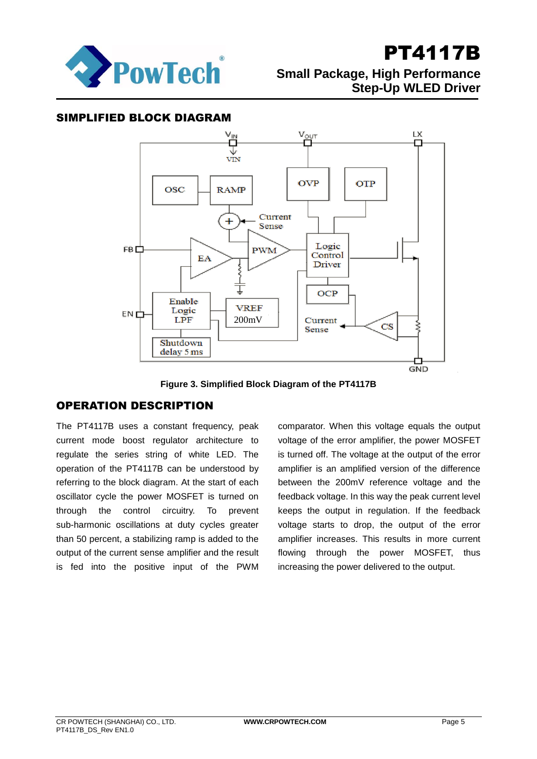

## **Small Package, High Performance Step-Up WLED Driver**

### SIMPLIFIED BLOCK DIAGRAM



**Figure 3. Simplified Block Diagram of the PT4117B**

## OPERATION DESCRIPTION

The PT4117B uses a constant frequency, peak current mode boost regulator architecture to regulate the series string of white LED. The operation of the PT4117B can be understood by referring to the block diagram. At the start of each oscillator cycle the power MOSFET is turned on through the control circuitry. To prevent sub-harmonic oscillations at duty cycles greater than 50 percent, a stabilizing ramp is added to the output of the current sense amplifier and the result is fed into the positive input of the PWM

comparator. When this voltage equals the output voltage of the error amplifier, the power MOSFET is turned off. The voltage at the output of the error amplifier is an amplified version of the difference between the 200mV reference voltage and the feedback voltage. In this way the peak current level keeps the output in regulation. If the feedback voltage starts to drop, the output of the error amplifier increases. This results in more current flowing through the power MOSFET, thus increasing the power delivered to the output.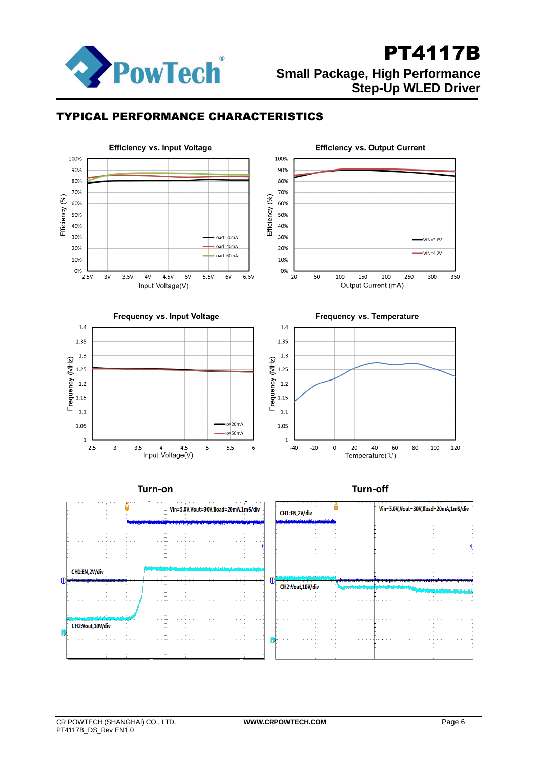

## PT4117B **Small Package, High Performance Step-Up WLED Driver**

## TYPICAL PERFORMANCE CHARACTERISTICS

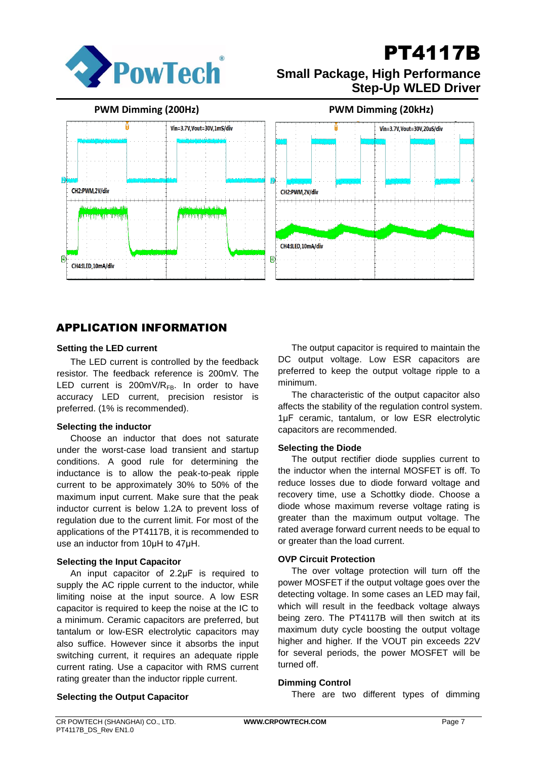

## **Small Package, High Performance Step-Up WLED Driver**

**PWM Dimming (200Hz) PWM Dimming (20kHz)**



## APPLICATION INFORMATION

### **Setting the LED current**

The LED current is controlled by the feedback resistor. The feedback reference is 200mV. The LED current is 200mV/ $R_{FB}$ . In order to have accuracy LED current, precision resistor is preferred. (1% is recommended).

### **Selecting the inductor**

Choose an inductor that does not saturate under the worst-case load transient and startup conditions. A good rule for determining the inductance is to allow the peak-to-peak ripple current to be approximately 30% to 50% of the maximum input current. Make sure that the peak inductor current is below 1.2A to prevent loss of regulation due to the current limit. For most of the applications of the PT4117B, it is recommended to use an inductor from 10μH to 47μH.

### **Selecting the Input Capacitor**

An input capacitor of 2.2μF is required to supply the AC ripple current to the inductor, while limiting noise at the input source. A low ESR capacitor is required to keep the noise at the IC to a minimum. Ceramic capacitors are preferred, but tantalum or low-ESR electrolytic capacitors may also suffice. However since it absorbs the input switching current, it requires an adequate ripple current rating. Use a capacitor with RMS current rating greater than the inductor ripple current.

The output capacitor is required to maintain the DC output voltage. Low ESR capacitors are preferred to keep the output voltage ripple to a minimum.

The characteristic of the output capacitor also affects the stability of the regulation control system. 1μF ceramic, tantalum, or low ESR electrolytic capacitors are recommended.

### **Selecting the Diode**

The output rectifier diode supplies current to the inductor when the internal MOSFET is off. To reduce losses due to diode forward voltage and recovery time, use a Schottky diode. Choose a diode whose maximum reverse voltage rating is greater than the maximum output voltage. The rated average forward current needs to be equal to or greater than the load current.

### **OVP Circuit Protection**

The over voltage protection will turn off the power MOSFET if the output voltage goes over the detecting voltage. In some cases an LED may fail, which will result in the feedback voltage always being zero. The PT4117B will then switch at its maximum duty cycle boosting the output voltage higher and higher. If the VOUT pin exceeds 22V for several periods, the power MOSFET will be turned off.

### **Dimming Control**

There are two different types of dimming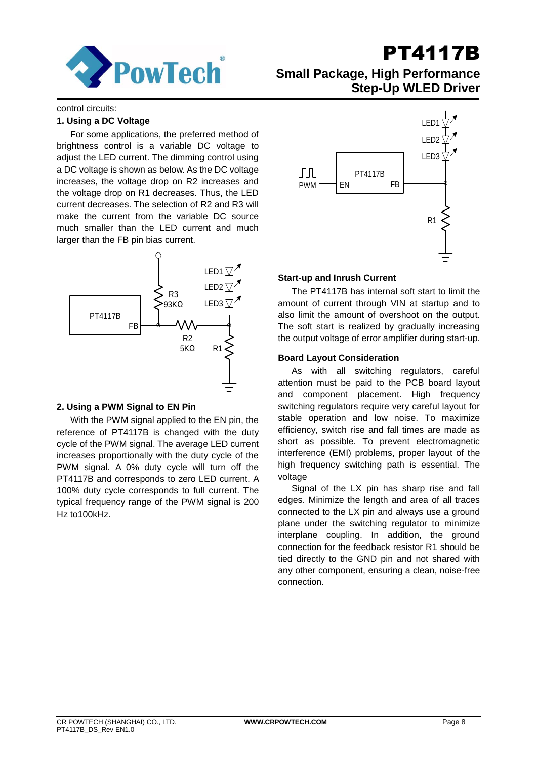

## **Small Package, High Performance Step-Up WLED Driver**

control circuits:

### **1. Using a DC Voltage**

For some applications, the preferred method of brightness control is a variable DC voltage to adjust the LED current. The dimming control using a DC voltage is shown as below. As the DC voltage increases, the voltage drop on R2 increases and the voltage drop on R1 decreases. Thus, the LED current decreases. The selection of R2 and R3 will make the current from the variable DC source much smaller than the LED current and much larger than the FB pin bias current.



### **2. Using a PWM Signal to EN Pin**

With the PWM signal applied to the EN pin, the reference of PT4117B is changed with the duty cycle of the PWM signal. The average LED current increases proportionally with the duty cycle of the PWM signal. A 0% duty cycle will turn off the PT4117B and corresponds to zero LED current. A 100% duty cycle corresponds to full current. The typical frequency range of the PWM signal is 200 Hz to100kHz.



### **Start-up and Inrush Current**

The PT4117B has internal soft start to limit the amount of current through VIN at startup and to also limit the amount of overshoot on the output. The soft start is realized by gradually increasing the output voltage of error amplifier during start-up.

### **Board Layout Consideration**

As with all switching regulators, careful attention must be paid to the PCB board layout and component placement. High frequency switching regulators require very careful layout for stable operation and low noise. To maximize efficiency, switch rise and fall times are made as short as possible. To prevent electromagnetic interference (EMI) problems, proper layout of the high frequency switching path is essential. The voltage

Signal of the LX pin has sharp rise and fall edges. Minimize the length and area of all traces connected to the LX pin and always use a ground plane under the switching regulator to minimize interplane coupling. In addition, the ground connection for the feedback resistor R1 should be tied directly to the GND pin and not shared with any other component, ensuring a clean, noise-free connection.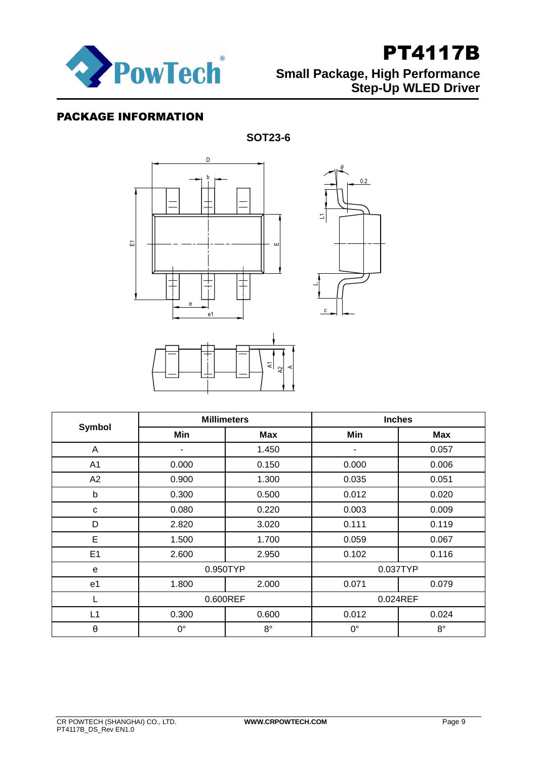

## PACKAGE INFORMATION

**SOT23-6**

c

 $\begin{picture}(120,115) \put(150,110){\line(1,0){15}} \put(150,110){\line(1,0){15}} \put(150,110){\line(1,0){15}} \put(150,110){\line(1,0){15}} \put(150,110){\line(1,0){15}} \put(150,110){\line(1,0){15}} \put(150,110){\line(1,0){15}} \put(150,110){\line(1,0){15}} \put(150,110){\line(1,0){15}} \put(150,110){\line(1,0){$ 



| <b>Symbol</b>         | <b>Millimeters</b> |             | <b>Inches</b> |             |  |
|-----------------------|--------------------|-------------|---------------|-------------|--|
|                       | Min                | <b>Max</b>  | Min           | Max         |  |
| A                     | ۰                  | 1.450       | ۰             | 0.057       |  |
| A1                    | 0.000              | 0.150       | 0.000         | 0.006       |  |
| A2                    | 0.900              | 1.300       | 0.035         | 0.051       |  |
| b                     | 0.300              | 0.500       | 0.012         | 0.020       |  |
| C                     | 0.080              | 0.220       | 0.003         | 0.009       |  |
| D                     | 2.820              | 3.020       | 0.111         | 0.119       |  |
| E                     | 1.500              | 1.700       | 0.059         | 0.067       |  |
| E1                    | 2.600              | 2.950       | 0.102         | 0.116       |  |
| e                     | 0.950TYP           |             | 0.037TYP      |             |  |
| e <sub>1</sub>        | 1.800              | 2.000       | 0.071         | 0.079       |  |
| L                     | 0.600REF           |             | 0.024REF      |             |  |
| L1                    | 0.300              | 0.600       | 0.012         | 0.024       |  |
| $\boldsymbol{\theta}$ | $0^{\circ}$        | $8^{\circ}$ | $0^{\circ}$   | $8^{\circ}$ |  |